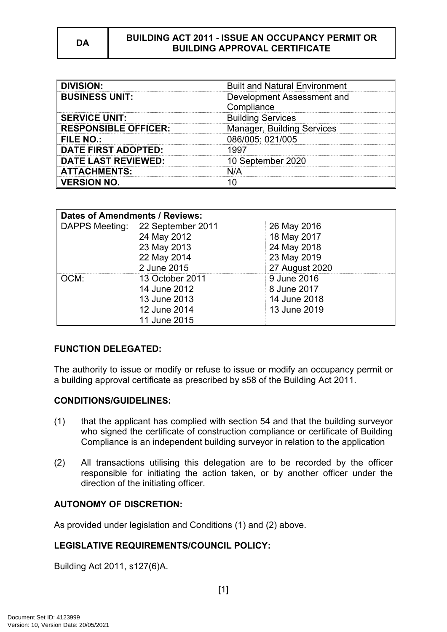| <b>DIVISION:</b>            | <b>Built and Natural Environment</b> |
|-----------------------------|--------------------------------------|
| <b>BUSINESS UNIT:</b>       | Development Assessment and           |
|                             | Compliance                           |
| <b>SERVICE UNIT:</b>        | <b>Building Services</b>             |
| <b>RESPONSIBLE OFFICER:</b> | <b>Manager, Building Services</b>    |
| <b>FILE NO.:</b>            | 086/005; 021/005                     |
| <b>DATE FIRST ADOPTED:</b>  | 1997                                 |
| <b>DATE LAST REVIEWED:</b>  | 10 September 2020                    |
| <b>ATTACHMENTS:</b>         | N/A                                  |
| <b>VERSION NO.</b>          |                                      |

| <b>Dates of Amendments / Reviews:</b> |                   |                |
|---------------------------------------|-------------------|----------------|
| DAPPS Meeting:                        | 22 September 2011 | 26 May 2016    |
|                                       | 24 May 2012       | 18 May 2017    |
|                                       | 23 May 2013       | 24 May 2018    |
|                                       | 22 May 2014       | 23 May 2019    |
|                                       | 2 June 2015       | 27 August 2020 |
| OCM:                                  | 13 October 2011   | 9 June 2016    |
|                                       | 14 June 2012      | 8 June 2017    |
|                                       | 13 June 2013      | 14 June 2018   |
|                                       | 12 June 2014      | 13 June 2019   |
|                                       | 11 June 2015      |                |

# **FUNCTION DELEGATED:**

The authority to issue or modify or refuse to issue or modify an occupancy permit or a building approval certificate as prescribed by s58 of the Building Act 2011.

#### **CONDITIONS/GUIDELINES:**

- (1) that the applicant has complied with section 54 and that the building surveyor who signed the certificate of construction compliance or certificate of Building Compliance is an independent building surveyor in relation to the application
- (2) All transactions utilising this delegation are to be recorded by the officer responsible for initiating the action taken, or by another officer under the direction of the initiating officer.

# **AUTONOMY OF DISCRETION:**

As provided under legislation and Conditions (1) and (2) above.

# **LEGISLATIVE REQUIREMENTS/COUNCIL POLICY:**

Building Act 2011, s127(6)A.